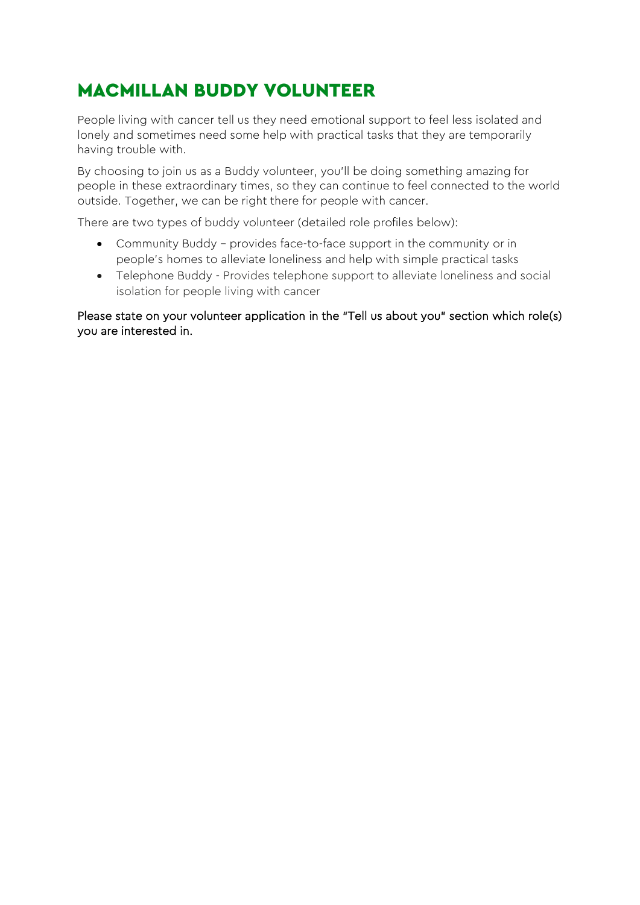# MACMILLAN BUDDY VOLUNTEER

People living with cancer tell us they need emotional support to feel less isolated and lonely and sometimes need some help with practical tasks that they are temporarily having trouble with.

By choosing to join us as a Buddy volunteer, you'll be doing something amazing for people in these extraordinary times, so they can continue to feel connected to the world outside. Together, we can be right there for people with cancer.

There are two types of buddy volunteer (detailed role profiles below):

- Community Buddy provides face-to-face support in the community or in people's homes to alleviate loneliness and help with simple practical tasks
- Telephone Buddy Provides telephone support to alleviate loneliness and social isolation for people living with cancer

Please state on your volunteer application in the "Tell us about you" section which role(s) you are interested in.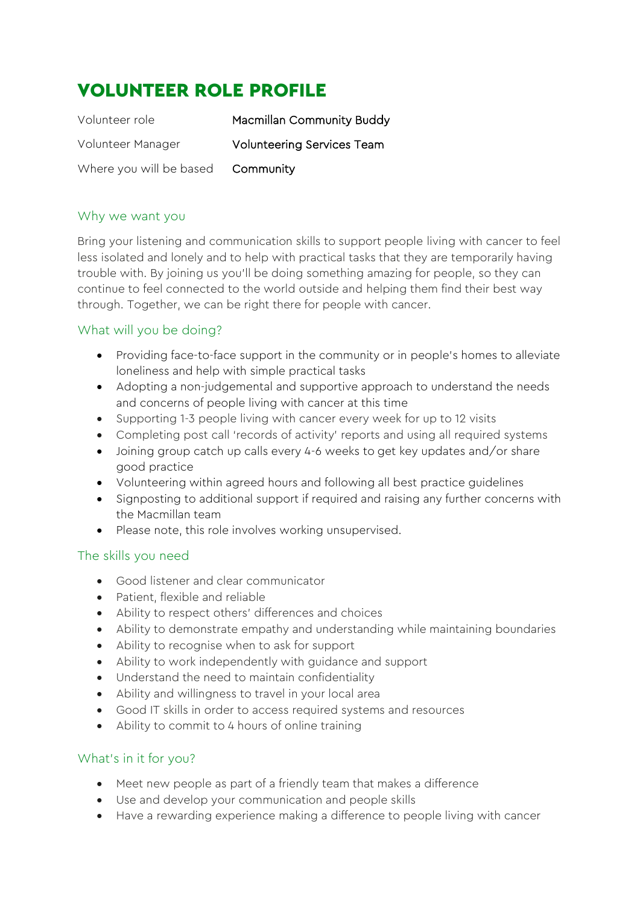# VOLUNTEER ROLE PROFILE

| Volunteer role          | Macmillan Community Buddy         |
|-------------------------|-----------------------------------|
| Volunteer Manager       | <b>Volunteering Services Team</b> |
| Where you will be based | Community                         |

## Why we want you

Bring your listening and communication skills to support people living with cancer to feel less isolated and lonely and to help with practical tasks that they are temporarily having trouble with. By joining us you'll be doing something amazing for people, so they can continue to feel connected to the world outside and helping them find their best way through. Together, we can be right there for people with cancer.

## What will you be doing?

- Providing face-to-face support in the community or in people's homes to alleviate loneliness and help with simple practical tasks
- Adopting a non-judgemental and supportive approach to understand the needs and concerns of people living with cancer at this time
- Supporting 1-3 people living with cancer every week for up to 12 visits
- Completing post call 'records of activity' reports and using all required systems
- Joining group catch up calls every 4-6 weeks to get key updates and/or share good practice
- Volunteering within agreed hours and following all best practice guidelines
- Signposting to additional support if required and raising any further concerns with the Macmillan team
- Please note, this role involves working unsupervised.

## The skills you need

- Good listener and clear communicator
- Patient, flexible and reliable
- Ability to respect others' differences and choices
- Ability to demonstrate empathy and understanding while maintaining boundaries
- Ability to recognise when to ask for support
- Ability to work independently with guidance and support
- Understand the need to maintain confidentiality
- Ability and willingness to travel in your local area
- Good IT skills in order to access required systems and resources
- Ability to commit to 4 hours of online training

## What's in it for you?

- Meet new people as part of a friendly team that makes a difference
- Use and develop your communication and people skills
- Have a rewarding experience making a difference to people living with cancer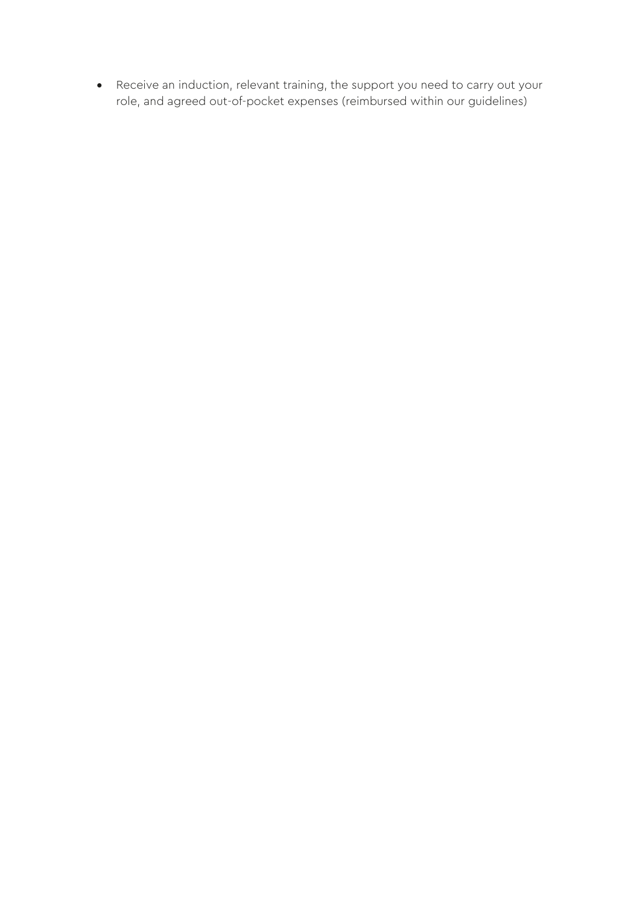• Receive an induction, relevant training, the support you need to carry out your role, and agreed out-of-pocket expenses (reimbursed within our guidelines)